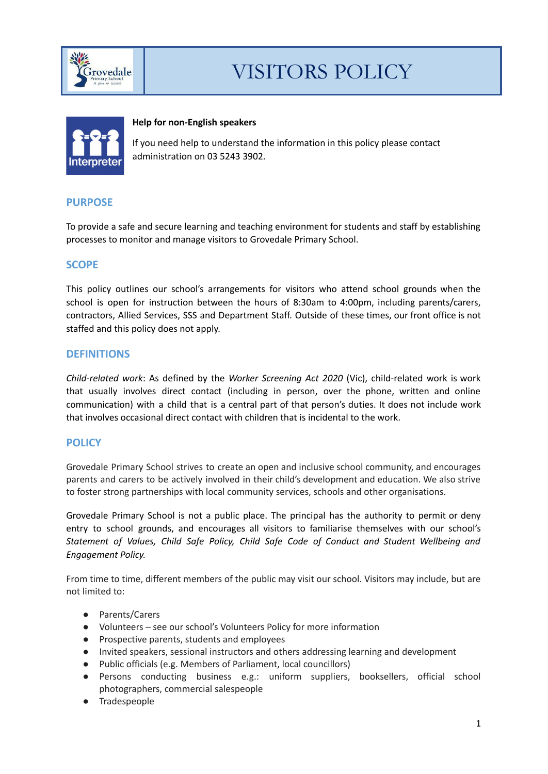



### **Help for non-English speakers**

If you need help to understand the information in this policy please contact administration on 03 5243 3902.

# **PURPOSE**

To provide a safe and secure learning and teaching environment for students and staff by establishing processes to monitor and manage visitors to Grovedale Primary School.

# **SCOPE**

This policy outlines our school's arrangements for visitors who attend school grounds when the school is open for instruction between the hours of 8:30am to 4:00pm, including parents/carers, contractors, Allied Services, SSS and Department Staff. Outside of these times, our front office is not staffed and this policy does not apply.

## **DEFINITIONS**

*Child-related work*: As defined by the *Worker Screening Act 2020* (Vic), child-related work is work that usually involves direct contact (including in person, over the phone, written and online communication) with a child that is a central part of that person's duties. It does not include work that involves occasional direct contact with children that is incidental to the work.

## **POLICY**

Grovedale Primary School strives to create an open and inclusive school community, and encourages parents and carers to be actively involved in their child's development and education. We also strive to foster strong partnerships with local community services, schools and other organisations.

Grovedale Primary School is not a public place. The principal has the authority to permit or deny entry to school grounds, and encourages all visitors to familiarise themselves with our school's *Statement of Values, Child Safe Policy, Child Safe Code of Conduct and Student Wellbeing and Engagement Policy.*

From time to time, different members of the public may visit our school. Visitors may include, but are not limited to:

- Parents/Carers
- Volunteers see our school's Volunteers Policy for more information
- Prospective parents, students and employees
- Invited speakers, sessional instructors and others addressing learning and development
- Public officials (e.g. Members of Parliament, local councillors)
- Persons conducting business e.g.: uniform suppliers, booksellers, official school photographers, commercial salespeople
- Tradespeople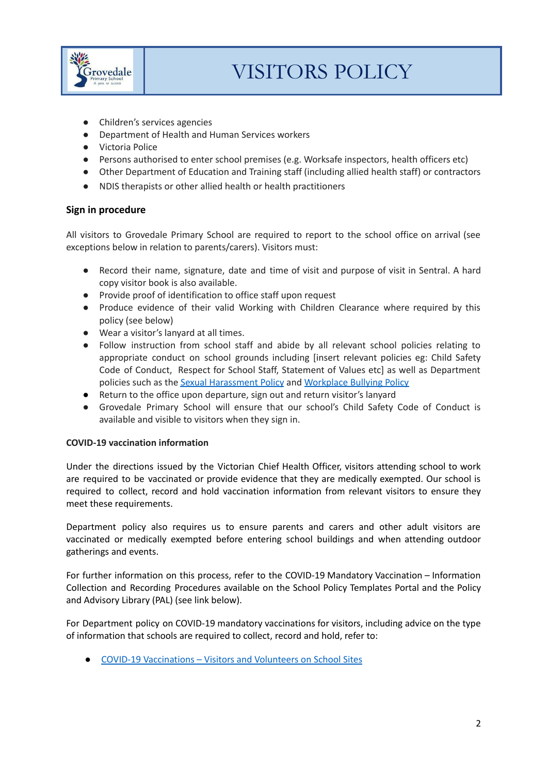

- Children's services agencies
- Department of Health and Human Services workers
- Victoria Police
- Persons authorised to enter school premises (e.g. Worksafe inspectors, health officers etc)
- Other Department of Education and Training staff (including allied health staff) or contractors
- NDIS therapists or other allied health or health practitioners

### **Sign in procedure**

All visitors to Grovedale Primary School are required to report to the school office on arrival (see exceptions below in relation to parents/carers). Visitors must:

- Record their name, signature, date and time of visit and purpose of visit in Sentral. A hard copy visitor book is also available.
- Provide proof of identification to office staff upon request
- Produce evidence of their valid Working with Children Clearance where required by this policy (see below)
- Wear a visitor's lanyard at all times.
- Follow instruction from school staff and abide by all relevant school policies relating to appropriate conduct on school grounds including [insert relevant policies eg: Child Safety Code of Conduct, Respect for School Staff, Statement of Values etc] as well as Department policies such as the Sexual [Harassment](https://www2.education.vic.gov.au/pal/sexual-harassment/overview) Policy and [Workplace](https://www2.education.vic.gov.au/pal/workplace-bullying/policy) Bullying Policy
- Return to the office upon departure, sign out and return visitor's lanyard
- Grovedale Primary School will ensure that our school's Child Safety Code of Conduct is available and visible to visitors when they sign in.

#### **COVID-19 vaccination information**

Under the directions issued by the Victorian Chief Health Officer, visitors attending school to work are required to be vaccinated or provide evidence that they are medically exempted. Our school is required to collect, record and hold vaccination information from relevant visitors to ensure they meet these requirements.

Department policy also requires us to ensure parents and carers and other adult visitors are vaccinated or medically exempted before entering school buildings and when attending outdoor gatherings and events.

For further information on this process, refer to the COVID-19 Mandatory Vaccination – Information Collection and Recording Procedures available on the School Policy Templates Portal and the Policy and Advisory Library (PAL) (see link below).

For Department policy on COVID-19 mandatory vaccinations for visitors, including advice on the type of information that schools are required to collect, record and hold, refer to:

● COVID-19 [Vaccinations](https://www2.education.vic.gov.au/pal/covid-19-vaccinations-visitors-volunteers/policy) – Visitors and Volunteers on School Sites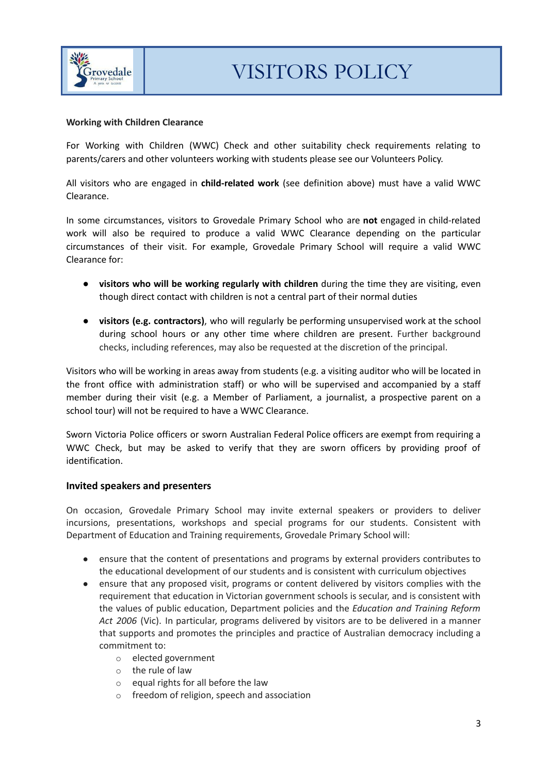

### **Working with Children Clearance**

For Working with Children (WWC) Check and other suitability check requirements relating to parents/carers and other volunteers working with students please see our Volunteers Policy.

All visitors who are engaged in **child-related work** (see definition above) must have a valid WWC Clearance.

In some circumstances, visitors to Grovedale Primary School who are **not** engaged in child-related work will also be required to produce a valid WWC Clearance depending on the particular circumstances of their visit. For example, Grovedale Primary School will require a valid WWC Clearance for:

- **visitors who will be working regularly with children** during the time they are visiting, even though direct contact with children is not a central part of their normal duties
- **visitors (e.g. contractors)**, who will regularly be performing unsupervised work at the school during school hours or any other time where children are present. Further background checks, including references, may also be requested at the discretion of the principal.

Visitors who will be working in areas away from students (e.g. a visiting auditor who will be located in the front office with administration staff) or who will be supervised and accompanied by a staff member during their visit (e.g. a Member of Parliament, a journalist, a prospective parent on a school tour) will not be required to have a WWC Clearance.

Sworn Victoria Police officers or sworn Australian Federal Police officers are exempt from requiring a WWC Check, but may be asked to verify that they are sworn officers by providing proof of identification.

#### **Invited speakers and presenters**

On occasion, Grovedale Primary School may invite external speakers or providers to deliver incursions, presentations, workshops and special programs for our students. Consistent with Department of Education and Training requirements, Grovedale Primary School will:

- ensure that the content of presentations and programs by external providers contributes to the educational development of our students and is consistent with curriculum objectives
- ensure that any proposed visit, programs or content delivered by visitors complies with the requirement that education in Victorian government schools is secular, and is consistent with the values of public education, Department policies and the *Education and Training Reform Act 2006* (Vic). In particular, programs delivered by visitors are to be delivered in a manner that supports and promotes the principles and practice of Australian democracy including a commitment to:
	- o elected government
	- o the rule of law
	- o equal rights for all before the law
	- o freedom of religion, speech and association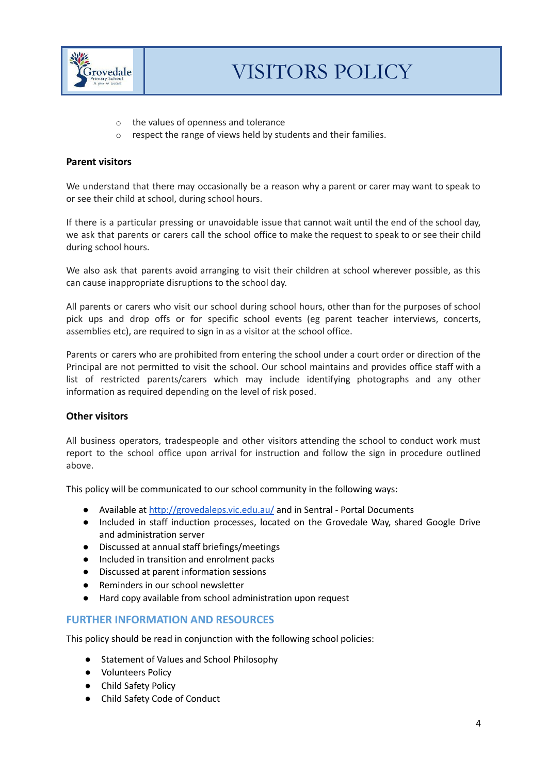

- o the values of openness and tolerance
- o respect the range of views held by students and their families.

### **Parent visitors**

We understand that there may occasionally be a reason why a parent or carer may want to speak to or see their child at school, during school hours.

If there is a particular pressing or unavoidable issue that cannot wait until the end of the school day, we ask that parents or carers call the school office to make the request to speak to or see their child during school hours.

We also ask that parents avoid arranging to visit their children at school wherever possible, as this can cause inappropriate disruptions to the school day.

All parents or carers who visit our school during school hours, other than for the purposes of school pick ups and drop offs or for specific school events (eg parent teacher interviews, concerts, assemblies etc), are required to sign in as a visitor at the school office.

Parents or carers who are prohibited from entering the school under a court order or direction of the Principal are not permitted to visit the school. Our school maintains and provides office staff with a list of restricted parents/carers which may include identifying photographs and any other information as required depending on the level of risk posed.

#### **Other visitors**

All business operators, tradespeople and other visitors attending the school to conduct work must report to the school office upon arrival for instruction and follow the sign in procedure outlined above.

This policy will be communicated to our school community in the following ways:

- Available at <http://grovedaleps.vic.edu.au/> and in Sentral Portal Documents
- Included in staff induction processes, located on the Grovedale Way, shared Google Drive and administration server
- Discussed at annual staff briefings/meetings
- Included in transition and enrolment packs
- Discussed at parent information sessions
- Reminders in our school newsletter
- Hard copy available from school administration upon request

## **FURTHER INFORMATION AND RESOURCES**

This policy should be read in conjunction with the following school policies:

- Statement of Values and School Philosophy
- Volunteers Policy
- Child Safety Policy
- Child Safety Code of Conduct